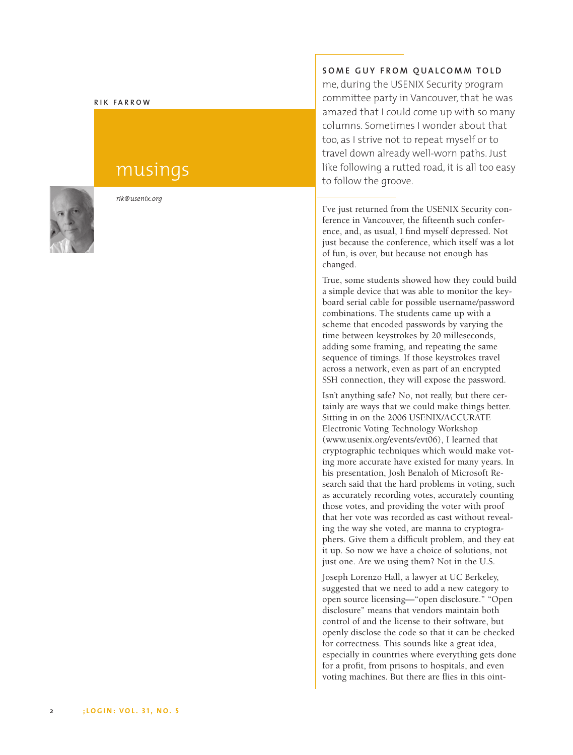#### **RIK FARROW**

# musings



*rik@usenix.org*

## **SOME GUY FROM QUALCOMM TOLD**

me, during the USENIX Security program committee party in Vancouver, that he was amazed that I could come up with so many columns. Sometimes I wonder about that too, as I strive not to repeat myself or to travel down already well-worn paths. Just like following a rutted road, it is all too easy to follow the groove.

I've just returned from the USENIX Security conference in Vancouver, the fifteenth such conference, and, as usual, I find myself depressed. Not just because the conference, which itself was a lot of fun, is over, but because not enough has changed.

True, some students showed how they could build a simple device that was able to monitor the keyboard serial cable for possible username/password combinations. The students came up with a scheme that encoded passwords by varying the time between keystrokes by 20 milleseconds, adding some framing, and repeating the same sequence of timings. If those keystrokes travel across a network, even as part of an encrypted SSH connection, they will expose the password.

Isn't anything safe? No, not really, but there certainly are ways that we could make things better. Sitting in on the 2006 USENIX/ACCURATE Electronic Voting Technology Workshop (www.usenix.org/events/evt06), I learned that cryptographic techniques which would make voting more accurate have existed for many years. In his presentation, Josh Benaloh of Microsoft Research said that the hard problems in voting, such as accurately recording votes, accurately counting those votes, and providing the voter with proof that her vote was recorded as cast without revealing the way she voted, are manna to cryptographers. Give them a difficult problem, and they eat it up. So now we have a choice of solutions, not just one. Ar e we using them? Not in the U.S.

Joseph Lorenzo Hall, a lawyer at UC Berkeley, suggested that we need to add a new category to open source licensing—"open disclosure." "Open disclosure" means that vendors maintain both control of and the license to their software, but openly disclose the code so that it can be checked for correctness. This sounds like a great idea, especially in countries wher e everything gets done for a profit, from prisons to hospitals, and even voting machines. But there are flies in this oint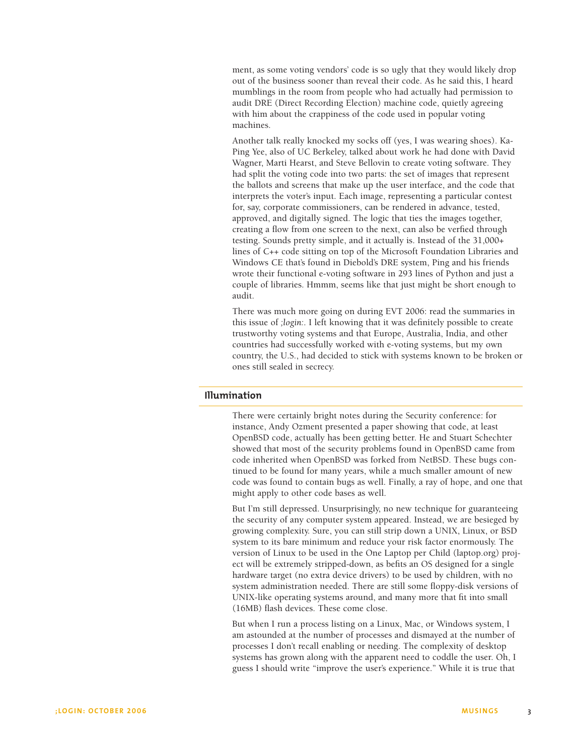ment, as some voting vendors' code is so ugly that they would likely drop out of the business sooner than reveal their code. As he said this, I heard mumblings in the room from people who had actually had permission to audit DRE (Direct Recording Election) machine code, quietly agreeing with him about the crappiness of the code used in popular voting machines.

Another talk really knocked my socks off (yes, I was wearing shoes). Ka-Ping Yee, also of UC Berkeley, talked about work he had done with David Wagner, Marti Hearst, and Steve Bellovin to create voting software. They had split the voting code into two parts: the set of images that represent the ballots and screens that make up the user interface, and the code that interprets the voter's input. Each image, representing a particular contest for, say, corporate commissioners, can be rendered in advance, tested, approved, and digitally signed. The logic that ties the images together, creating a flow from one screen to the next, can also be verfied through testing. Sounds pretty simple, and it actually is. Instead of the 31,000+ lines of C++ code sitting on top of the Microsoft Foundation Libraries and Windows CE that's found in Diebold's DRE system, Ping and his friends wrote their functional e-voting software in 293 lines of Python and just a couple of libraries. Hmmm, seems like that just might be short enough to audit.

There was much more going on during EVT 2006: read the summaries in this issue of *;login:*. I left knowing that it was definitely possible to create trustworthy voting systems and that Europe, Australia, India, and other countries had successfully worked with e-voting systems, but my own country, the U.S., had decided to stick with systems known to be broken or ones still sealed in secrecy.

## **Illumination**

There were certainly bright notes during the Security conference: for instance, Andy Ozment presented a paper showing that code, at least OpenBSD code, actually has been getting better. He and Stuart Schechter showed that most of the security problems found in OpenBSD came from code inherited when OpenBSD was forked from NetBSD. These bugs continued to be found for many years, while a much smaller amount of new code was found to contain bugs as well. Finally, a ray of hope, and one that might apply to other code bases as well.

But I'm still depressed. Unsurprisingly, no new technique for guaranteeing the security of any computer system appeared. Instead, we are besieged by growing complexity. Sure, you can still strip down a UNIX, Linux, or BSD system to its bare minimum and reduce your risk factor enormously. The version of Linux to be used in the One Laptop per Child (laptop.org) project will be extremely stripped-down, as befits an OS designed for a single hardware target (no extra device drivers) to be used by children, with no system administration needed. There are still some floppy-disk versions of UNIX-like operating systems around, and many more that fit into small (16MB) flash devices. These come close.

But when I run a process listing on a Linux, Mac, or Windows system, I am astounded at the number of processes and dismayed at the number of processes I don't recall enabling or needing. The complexity of desktop systems has grown along with the apparent need to coddle the user. Oh, I guess I should write "improve the user's experience." While it is true that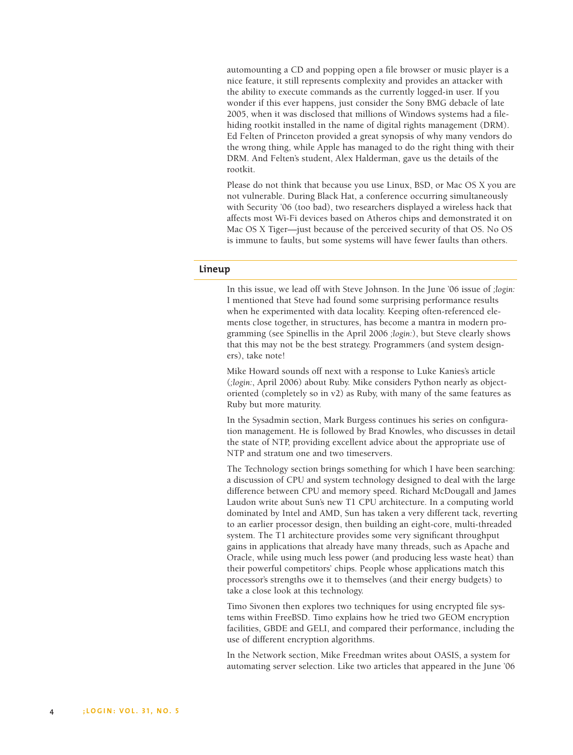automounting a CD and popping open a file browser or music player is a nice feature, it still represents complexity and provides an attacker with the ability to execute commands as the currently logged-in user. If you wonder if this ever happens, just consider the Sony BMG debacle of late 2005, when it was disclosed that millions of Windows systems had a filehiding rootkit installed in the name of digital rights management (DRM). Ed Felten of Princeton provided a great synopsis of why many vendors do the wrong thing, while Apple has managed to do the right thing with their DRM. And Felten's student, Alex Halderman, gave us the details of the rootkit.

Please do not think that because you use Linux, BSD, or Mac OS X you are not vulnerable. During Black Hat, a conference occurring simultaneously with Security '06 (too bad), two researchers displayed a wireless hack that affects most Wi-Fi devices based on Atheros chips and demonstrated it on Mac OS X Tiger—just because of the perceived security of that OS. No OS is immune to faults, but some systems will have fewer faults than others.

### **Lineup**

In this issue, we lead off with Steve Johnson. In the June '06 issue of *;login:* I mentioned that Steve had found some surprising performance results when he experimented with data locality. Keeping often-referenced elements close together, in structures, has become a mantra in modern programming (see Spinellis in the April 2006 *;login:*), but Steve clearly shows that this may not be the best strategy. Programmers (and system designers), take note!

Mike Howard sounds off next with a response to Luke Kanies's article (*;login:*, April 2006) about Ruby. Mike considers Python nearly as objectoriented (completely so in v2) as Ruby, with many of the same features as Ruby but more maturity.

In the Sysadmin section, Mark Burgess continues his series on configuration management. He is followed by Brad Knowles, who discusses in detail the state of NTP, providing excellent advice about the appropriate use of NTP and stratum one and two timeservers.

The Technology section brings something for which I have been searching: a discussion of CPU and system technology designed to deal with the large difference between CPU and memory speed. Richard McDougall and James Laudon write about Sun's new T1 CPU architecture. In a computing world dominated by Intel and AMD, Sun has taken a very different tack, reverting to an earlier processor design, then building an eight-core, multi-threaded system. The T1 architecture provides some very significant throughput gains in applications that already have many threads, such as Apache and Oracle, while using much less power (and producing less waste heat) than their powerful competitors' chips. People whose applications match this processor's strengths owe it to themselves (and their energy budgets) to take a close look at this technology.

Timo Sivonen then explores two techniques for using encrypted file systems within FreeBSD. Timo explains how he tried two GEOM encryption facilities, GBDE and GELI, and compared their performance, including the use of different encryption algorithms.

In the Network section, Mike Freedman writes about OASIS, a system for automating server selection. Like two articles that appeared in the June '06